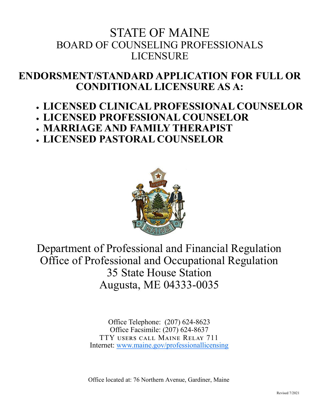# STATE OF MAINE BOARD OF COUNSELING PROFESSIONALS LICENSURE

# **ENDORSMENT/STANDARD APPLICATION FOR FULL OR CONDITIONAL LICENSURE AS A:**

# • **LICENSED CLINICAL PROFESSIONAL COUNSELOR**

- **LICENSED PROFESSIONAL COUNSELOR**  • **MARRIAGE AND FAMILY THERAPIST**
- 
- **LICENSED PASTORAL COUNSELOR**



# Department of Professional and Financial Regulation Office of Professional and Occupational Regulation 35 State House Station Augusta, ME 04333-0035

Office Telephone: (207) 624-8623 Office Facsimile: (207) 624-8637 TTY users call Maine Relay 711 Internet: [www.maine.gov/professionallicensing](http://www.maine.gov/professionallicensing)

Office located at: 76 Northern Avenue, Gardiner, Maine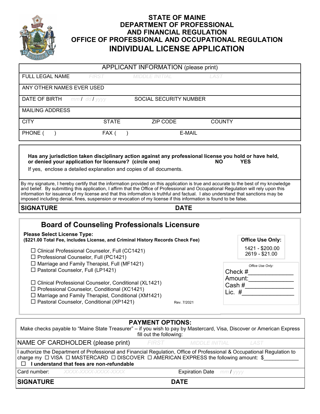

# **STATE OF MAINE DEPARTMENT OF PROFESSIONAL AND FINANCIAL REGULATION OFFICE OF PROFESSIONAL AND OCCUPATIONAL REGULATION INDIVIDUAL LICENSE APPLICATION**

|                                                                                                                                                                                                                                                        |                   | APPLICANT INFORMATION (please print)               |             |                                                                                                                                                                                                                                                                              |
|--------------------------------------------------------------------------------------------------------------------------------------------------------------------------------------------------------------------------------------------------------|-------------------|----------------------------------------------------|-------------|------------------------------------------------------------------------------------------------------------------------------------------------------------------------------------------------------------------------------------------------------------------------------|
| FULL LEGAL NAME                                                                                                                                                                                                                                        | <b>FIRST</b>      | <b>MIDDLE INITIAL</b>                              | LAST        |                                                                                                                                                                                                                                                                              |
| ANY OTHER NAMES EVER USED                                                                                                                                                                                                                              |                   |                                                    |             |                                                                                                                                                                                                                                                                              |
| DATE OF BIRTH                                                                                                                                                                                                                                          | $mmI$ dd $I$ yyyy | SOCIAL SECURITY NUMBER                             |             |                                                                                                                                                                                                                                                                              |
| <b>MAILING ADDRESS</b>                                                                                                                                                                                                                                 |                   |                                                    |             |                                                                                                                                                                                                                                                                              |
| <b>CITY</b>                                                                                                                                                                                                                                            | <b>STATE</b>      | ZIP CODE                                           |             | <b>COUNTY</b>                                                                                                                                                                                                                                                                |
| PHONE (                                                                                                                                                                                                                                                | FAX (             |                                                    | E-MAIL      |                                                                                                                                                                                                                                                                              |
| or denied your application for licensure? (circle one)<br>If yes, enclose a detailed explanation and copies of all documents.                                                                                                                          |                   |                                                    | <b>NO</b>   | Has any jurisdiction taken disciplinary action against any professional license you hold or have held,<br><b>YES</b>                                                                                                                                                         |
| information for issuance of my license and that this information is truthful and factual. I also understand that sanctions may be<br>imposed including denial, fines, suspension or revocation of my license if this information is found to be false. |                   |                                                    |             | By my signature, I hereby certify that the information provided on this application is true and accurate to the best of my knowledge<br>and belief. By submitting this application, I affirm that the Office of Professional and Occupational Regulation will rely upon this |
| <b>SIGNATURE</b>                                                                                                                                                                                                                                       |                   |                                                    | <b>DATE</b> |                                                                                                                                                                                                                                                                              |
|                                                                                                                                                                                                                                                        |                   | <b>Board of Counseling Professionals Licensure</b> |             |                                                                                                                                                                                                                                                                              |
| <b>Please Select License Type:</b><br>(\$221.00 Total Fee, includes License, and Criminal History Records Check Fee)                                                                                                                                   |                   |                                                    |             | <b>Office Use Only:</b>                                                                                                                                                                                                                                                      |
| □ Clinical Professional Counselor, Full (CC1421)<br>□ Professional Counselor, Full (PC1421)<br>$\Box$ Marriage and Family Therapist, Full (MF1421)                                                                                                     |                   |                                                    |             | 1421 - \$200.00<br>2619 - \$21.00                                                                                                                                                                                                                                            |
| □ Pastoral Counselor, Full (LP1421)                                                                                                                                                                                                                    |                   |                                                    |             | Office Use Only:<br>Check $#$                                                                                                                                                                                                                                                |
| □ Clinical Professional Counselor, Conditional (XL1421)<br>□ Professional Counselor, Conditional (XC1421)<br>$\Box$ Marriage and Family Therapist, Conditional (XM1421)<br>□ Pastoral Counselor, Conditional (XP1421)                                  |                   |                                                    | Rev. 7/2021 | Amount:<br>Cash #                                                                                                                                                                                                                                                            |
|                                                                                                                                                                                                                                                        |                   | <b>PAYMENT OPTIONS:</b>                            |             | Make checks payable to "Maine State Treasurer" – if you wish to pay by Mastercard, Visa, Discover or American Express                                                                                                                                                        |

| fill out the following:                                                                                                                                                                                                                                                |                                         |       |                                  |             |  |
|------------------------------------------------------------------------------------------------------------------------------------------------------------------------------------------------------------------------------------------------------------------------|-----------------------------------------|-------|----------------------------------|-------------|--|
|                                                                                                                                                                                                                                                                        | NAME OF CARDHOLDER (please print)       | FIRST | MIDDLE INITIAL                   | <i>LAST</i> |  |
| I authorize the Department of Professional and Financial Regulation, Office of Professional & Occupational Regulation to<br> charge my □ VISA □ MASTERCARD □ DISCOVER □ AMERICAN EXPRESS the following amount: $$$<br>$\Box$ I understand that fees are non-refundable |                                         |       |                                  |             |  |
|                                                                                                                                                                                                                                                                        | <b>Card number:</b> XXXX-XXXX-XXXX-XXXX |       | <b>Expiration Date</b> mm / yyyy |             |  |

**SIGNATURE****DATE**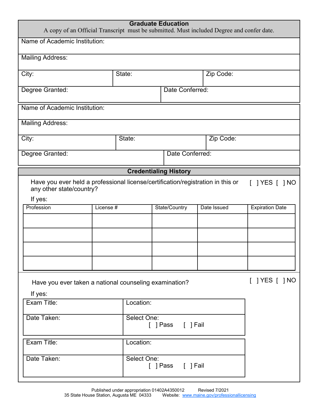| <b>Graduate Education</b><br>A copy of an Official Transcript must be submitted. Must included Degree and confer date. |                                                                                                                                   |        |                              |             |                        |  |
|------------------------------------------------------------------------------------------------------------------------|-----------------------------------------------------------------------------------------------------------------------------------|--------|------------------------------|-------------|------------------------|--|
| Name of Academic Institution:                                                                                          |                                                                                                                                   |        |                              |             |                        |  |
| <b>Mailing Address:</b>                                                                                                |                                                                                                                                   |        |                              |             |                        |  |
| City:                                                                                                                  |                                                                                                                                   | State: |                              | Zip Code:   |                        |  |
| Date Conferred:<br>Degree Granted:                                                                                     |                                                                                                                                   |        |                              |             |                        |  |
| Name of Academic Institution:                                                                                          |                                                                                                                                   |        |                              |             |                        |  |
| <b>Mailing Address:</b>                                                                                                |                                                                                                                                   |        |                              |             |                        |  |
| City:                                                                                                                  |                                                                                                                                   | State: |                              | Zip Code:   |                        |  |
| Degree Granted:                                                                                                        |                                                                                                                                   |        | Date Conferred:              |             |                        |  |
|                                                                                                                        |                                                                                                                                   |        | <b>Credentialing History</b> |             |                        |  |
|                                                                                                                        | Have you ever held a professional license/certification/registration in this or<br>$[$ ] YES $[$ ] NO<br>any other state/country? |        |                              |             |                        |  |
| If yes:<br>Profession                                                                                                  | License <sup>#</sup>                                                                                                              |        | State/Country                | Date Issued | <b>Expiration Date</b> |  |
|                                                                                                                        |                                                                                                                                   |        |                              |             |                        |  |
|                                                                                                                        |                                                                                                                                   |        |                              |             |                        |  |
|                                                                                                                        |                                                                                                                                   |        |                              |             |                        |  |
|                                                                                                                        |                                                                                                                                   |        |                              |             |                        |  |
|                                                                                                                        | $[$ ] YES $[$ ] NO<br>Have you ever taken a national counseling examination?                                                      |        |                              |             |                        |  |
| If yes:                                                                                                                |                                                                                                                                   |        |                              |             |                        |  |
| Exam Title:                                                                                                            | Location:                                                                                                                         |        |                              |             |                        |  |
| Date Taken:<br>Select One:                                                                                             |                                                                                                                                   |        | [ ] Pass [ ] Fail            |             |                        |  |
| Exam Title:                                                                                                            | Location:                                                                                                                         |        |                              |             |                        |  |
| Date Taken:<br>Select One:<br>[ ] Pass [ ] Fail                                                                        |                                                                                                                                   |        |                              |             |                        |  |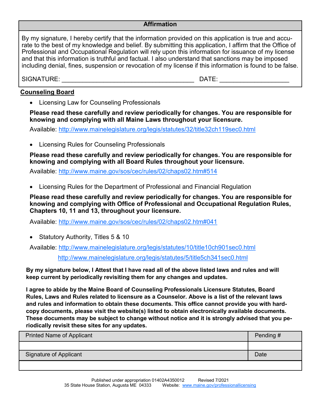#### **Affirmation**

By my signature, I hereby certify that the information provided on this application is true and accurate to the best of my knowledge and belief. By submitting this application, I affirm that the Office of Professional and Occupational Regulation will rely upon this information for issuance of my license and that this information is truthful and factual. I also understand that sanctions may be imposed including denial, fines, suspension or revocation of my license if this information is found to be false.

SIGNATURE: \_\_\_\_\_\_\_\_\_\_\_\_\_\_\_\_\_\_\_\_\_\_\_\_\_\_\_\_\_\_\_\_\_\_\_\_\_\_ DATE: \_\_\_\_\_\_\_\_\_\_\_\_\_\_\_\_\_\_\_\_

#### **Counseling Board**

• Licensing Law for Counseling Professionals

**Please read these carefully and review periodically for changes. You are responsible for knowing and complying with all Maine Laws throughout your licensure.**

Available:<http://www.mainelegislature.org/legis/statutes/32/title32ch119sec0.html>

• Licensing Rules for Counseling Professionals

**Please read these carefully and review periodically for changes. You are responsible for knowing and complying with all Board Rules throughout your licensure.**

Available:<http://www.maine.gov/sos/cec/rules/02/chaps02.htm#514>

• Licensing Rules for the Department of Professional and Financial Regulation

**Please read these carefully and review periodically for changes. You are responsible for knowing and complying with Office of Professional and Occupational Regulation Rules, Chapters 10, 11 and 13, throughout your licensure.**

Available:<http://www.maine.gov/sos/cec/rules/02/chaps02.htm#041>

• Statutory Authority, Titles 5 & 10

Available:<http://www.mainelegislature.org/legis/statutes/10/title10ch901sec0.html>

<http://www.mainelegislature.org/legis/statutes/5/title5ch341sec0.html>

**By my signature below, I Attest that I have read all of the above listed laws and rules and will keep current by periodically revisiting them for any changes and updates.**

**I agree to abide by the Maine Board of Counseling Professionals Licensure Statutes, Board Rules, Laws and Rules related to licensure as a Counselor. Above is a list of the relevant laws and rules and information to obtain these documents. This office cannot provide you with hardcopy documents, please visit the website(s) listed to obtain electronically available documents. These documents may be subject to change without notice and it is strongly advised that you periodically revisit these sites for any updates.** 

| <b>Printed Name of Applicant</b> | Pending # |
|----------------------------------|-----------|
|                                  |           |
| Signature of Applicant           | Date      |
|                                  |           |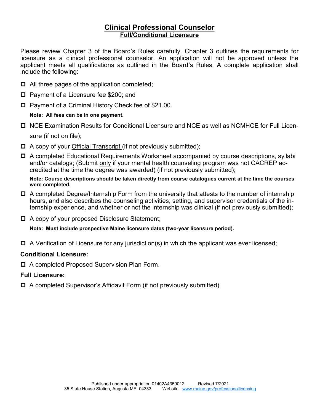# **Clinical Professional Counselor Full/Conditional Licensure**

Please review Chapter 3 of the Board's Rules carefully. Chapter 3 outlines the requirements for licensure as a clinical professional counselor. An application will not be approved unless the applicant meets all qualifications as outlined in the Board's Rules. A complete application shall include the following:

- $\Box$  All three pages of the application completed;
- □ Payment of a Licensure fee \$200; and
- Payment of a Criminal History Check fee of \$21.00.

#### **Note: All fees can be in one payment.**

- NCE Examination Results for Conditional Licensure and NCE as well as NCMHCE for Full Licensure (if not on file);
- □ A copy of your Official Transcript (if not previously submitted);
- A completed Educational Requirements Worksheet accompanied by course descriptions, syllabi and/or catalogs; (Submit only if your mental health counseling program was not CACREP accredited at the time the degree was awarded) (if not previously submitted);

**Note: Course descriptions should be taken directly from course catalogues current at the time the courses were completed.**

- $\Box$  A completed Degree/Internship Form from the university that attests to the number of internship hours, and also describes the counseling activities, setting, and supervisor credentials of the internship experience, and whether or not the internship was clinical (if not previously submitted);
- A copy of your proposed Disclosure Statement;

**Note: Must include prospective Maine licensure dates (two-year licensure period).**

 $\Box$  A Verification of Licensure for any jurisdiction(s) in which the applicant was ever licensed;

## **Conditional Licensure:**

□ A completed Proposed Supervision Plan Form.

## **Full Licensure:**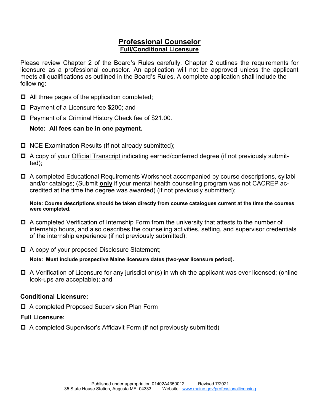## **Professional Counselor Full/Conditional Licensure**

Please review Chapter 2 of the Board's Rules carefully. Chapter 2 outlines the requirements for licensure as a professional counselor. An application will not be approved unless the applicant meets all qualifications as outlined in the Board's Rules. A complete application shall include the following:

- $\Box$  All three pages of the application completed;
- $\Box$  Payment of a Licensure fee \$200; and
- □ Payment of a Criminal History Check fee of \$21.00.

# **Note: All fees can be in one payment.**

- $\Box$  NCE Examination Results (If not already submitted);
- A copy of your Official Transcript indicating earned/conferred degree (if not previously submitted);
- A completed Educational Requirements Worksheet accompanied by course descriptions, syllabi and/or catalogs; (Submit **only** if your mental health counseling program was not CACREP accredited at the time the degree was awarded) (if not previously submitted);

**Note: Course descriptions should be taken directly from course catalogues current at the time the courses were completed.**

- A completed Verification of Internship Form from the university that attests to the number of internship hours, and also describes the counseling activities, setting, and supervisor credentials of the internship experience (if not previously submitted);
- A copy of your proposed Disclosure Statement;

**Note: Must include prospective Maine licensure dates (two-year licensure period).**

 $\Box$  A Verification of Licensure for any jurisdiction(s) in which the applicant was ever licensed; (online look-ups are acceptable); and

# **Conditional Licensure:**

□ A completed Proposed Supervision Plan Form

# **Full Licensure:**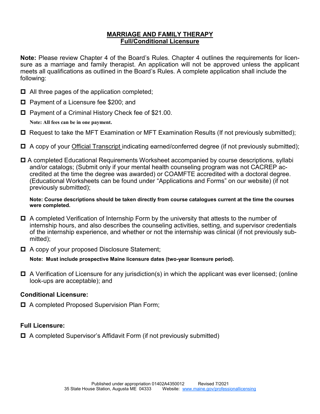## **MARRIAGE AND FAMILY THERAPY Full/Conditional Licensure**

**Note:** Please review Chapter 4 of the Board's Rules. Chapter 4 outlines the requirements for licensure as a marriage and family therapist. An application will not be approved unless the applicant meets all qualifications as outlined in the Board's Rules. A complete application shall include the following:

- $\Box$  All three pages of the application completed;
- $\Box$  Payment of a Licensure fee \$200; and
- Payment of a Criminal History Check fee of \$21.00.

**Note: All fees can be in one payment.**

- $\Box$  Request to take the MFT Examination or MFT Examination Results (If not previously submitted);
- A copy of your Official Transcript indicating earned/conferred degree (if not previously submitted);
- **□** A completed Educational Requirements Worksheet accompanied by course descriptions, syllabi and/or catalogs; (Submit only if your mental health counseling program was not CACREP accredited at the time the degree was awarded) or COAMFTE accredited with a doctoral degree. (Educational Worksheets can be found under "Applications and Forms" on our website) (if not previously submitted);

#### **Note: Course descriptions should be taken directly from course catalogues current at the time the courses were completed.**

- $\Box$  A completed Verification of Internship Form by the university that attests to the number of internship hours, and also describes the counseling activities, setting, and supervisor credentials of the internship experience, and whether or not the internship was clinical (if not previously submitted);
- A copy of your proposed Disclosure Statement;

**Note: Must include prospective Maine licensure dates (two-year licensure period).**

 $\Box$  A Verification of Licensure for any jurisdiction(s) in which the applicant was ever licensed; (online look-ups are acceptable); and

## **Conditional Licensure:**

A completed Proposed Supervision Plan Form;

## **Full Licensure:**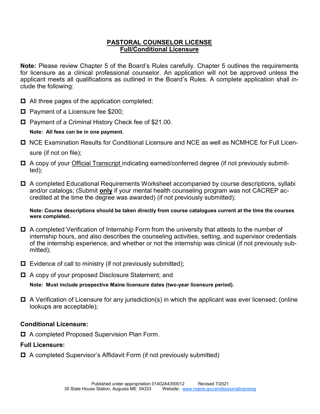## **PASTORAL COUNSELOR LICENSE Full/Conditional Licensure**

**Note:** Please review Chapter 5 of the Board's Rules carefully. Chapter 5 outlines the requirements for licensure as a clinical professional counselor. An application will not be approved unless the applicant meets all qualifications as outlined in the Board's Rules. A complete application shall include the following:

- $\Box$  All three pages of the application completed;
- Payment of a Licensure fee \$200;
- Payment of a Criminal History Check fee of \$21.00.

#### **Note: All fees can be in one payment.**

- **□** NCE Examination Results for Conditional Licensure and NCE as well as NCMHCE for Full Licensure (if not on file);
- □ A copy of your Official Transcript indicating earned/conferred degree (if not previously submitted);
- A completed Educational Requirements Worksheet accompanied by course descriptions, syllabi and/or catalogs; (Submit **only** if your mental health counseling program was not CACREP accredited at the time the degree was awarded) (if not previously submitted);

#### **Note: Course descriptions should be taken directly from course catalogues current at the time the courses were completed.**

- □ A completed Verification of Internship Form from the university that attests to the number of internship hours, and also describes the counseling activities, setting, and supervisor credentials of the internship experience, and whether or not the internship was clinical (if not previously submitted);
- $\Box$  Evidence of call to ministry (if not previously submitted);
- A copy of your proposed Disclosure Statement; and

**Note: Must include prospective Maine licensure dates (two-year licensure period).**

 $\Box$  A Verification of Licensure for any jurisdiction(s) in which the applicant was ever licensed; (online lookups are acceptable);

#### **Conditional Licensure:**

A completed Proposed Supervision Plan Form.

## **Full Licensure:**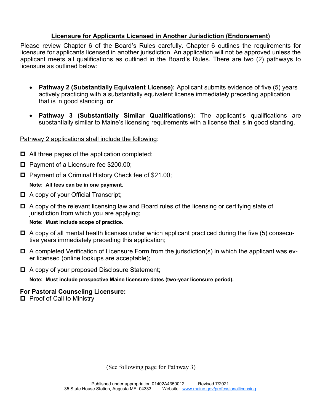# **Licensure for Applicants Licensed in Another Jurisdiction (Endorsement)**

Please review Chapter 6 of the Board's Rules carefully. Chapter 6 outlines the requirements for licensure for applicants licensed in another jurisdiction. An application will not be approved unless the applicant meets all qualifications as outlined in the Board's Rules. There are two (2) pathways to licensure as outlined below:

- **Pathway 2 (Substantially Equivalent License):** Applicant submits evidence of five (5) years actively practicing with a substantially equivalent license immediately preceding application that is in good standing, **or**
- **Pathway 3 (Substantially Similar Qualifications):** The applicant's qualifications are substantially similar to Maine's licensing requirements with a license that is in good standing.

#### Pathway 2 applications shall include the following:

- $\Box$  All three pages of the application completed;
- $\Box$  Payment of a Licensure fee \$200.00;
- $\Box$  Payment of a Criminal History Check fee of \$21.00;

#### **Note: All fees can be in one payment.**

- A copy of your Official Transcript;
- **□** A copy of the relevant licensing law and Board rules of the licensing or certifying state of jurisdiction from which you are applying;

#### **Note: Must include scope of practice.**

- $\Box$  A copy of all mental health licenses under which applicant practiced during the five (5) consecutive years immediately preceding this application;
- $\Box$  A completed Verification of Licensure Form from the jurisdiction(s) in which the applicant was ever licensed (online lookups are acceptable);
- A copy of your proposed Disclosure Statement;

**Note: Must include prospective Maine licensure dates (two-year licensure period).**

#### **For Pastoral Counseling Licensure:**

 $\Box$  Proof of Call to Ministry

(See following page for Pathway 3)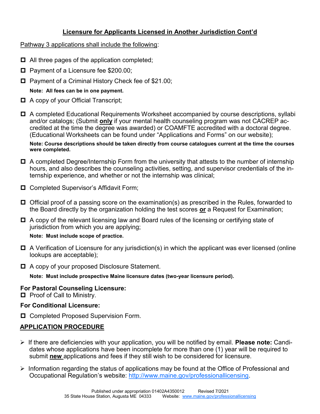# **Licensure for Applicants Licensed in Another Jurisdiction Cont'd**

Pathway 3 applications shall include the following:

- $\Box$  All three pages of the application completed;
- Payment of a Licensure fee \$200.00;
- □ Payment of a Criminal History Check fee of \$21.00;

**Note: All fees can be in one payment.**

- $\Box$  A copy of your Official Transcript;
- A completed Educational Requirements Worksheet accompanied by course descriptions, syllabi and/or catalogs; (Submit **only** if your mental health counseling program was not CACREP accredited at the time the degree was awarded) or COAMFTE accredited with a doctoral degree. (Educational Worksheets can be found under "Applications and Forms" on our website);

**Note: Course descriptions should be taken directly from course catalogues current at the time the courses were completed.**

- $\Box$  A completed Degree/Internship Form from the university that attests to the number of internship hours, and also describes the counseling activities, setting, and supervisor credentials of the internship experience, and whether or not the internship was clinical;
- □ Completed Supervisor's Affidavit Form;
- $\Box$  Official proof of a passing score on the examination(s) as prescribed in the Rules, forwarded to the Board directly by the organization holding the test scores **or** a Request for Examination;
- $\Box$  A copy of the relevant licensing law and Board rules of the licensing or certifying state of jurisdiction from which you are applying;

## **Note: Must include scope of practice.**

- $\Box$  A Verification of Licensure for any jurisdiction(s) in which the applicant was ever licensed (online lookups are acceptable);
- A copy of your proposed Disclosure Statement.

**Note: Must include prospective Maine licensure dates (two-year licensure period).**

# **For Pastoral Counseling Licensure:**

 $\Box$  Proof of Call to Ministry.

## **For Conditional Licensure:**

□ Completed Proposed Supervision Form.

# **APPLICATION PROCEDURE**

- ➢ If there are deficiencies with your application, you will be notified by email. **Please note:** Candidates whose applications have been incomplete for more than one (1) year will be required to submit **new** applications and fees if they still wish to be considered for licensure.
- ➢ Information regarding the status of applications may be found at the Office of Professional and Occupational Regulation's website: [http://www.maine.gov/professionallicensing.](http://www.maine.gov/professionallicensing)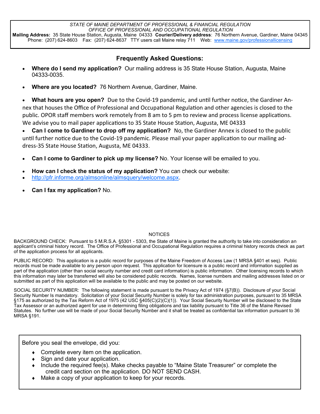*STATE OF MAINE DEPARTMENT OF PROFESSIONAL & FINANCIAL REGULATION OFFICE OF PROFESSIONAL AND OCCUPATIONAL REGULATION* **Mailing Address:** 35 State House Station, Augusta, Maine 04333 **Courier/Delivery address**: 76 Northern Avenue, Gardiner, Maine 04345 Phone: (207) 624-8603 Fax: (207) 624-8637 TTY users call Maine relay 711 Web: [www.maine.gov/professionallicensing](http://www.maine.gov/professionallicensing)

## **Frequently Asked Questions:**

- **Where do I send my application?** Our mailing address is 35 State House Station, Augusta, Maine 04333-0035.
- **Where are you located?** 76 Northern Avenue, Gardiner, Maine.

• **What hours are you open?** Due to the Covid-19 pandemic, and until further notice, the Gardiner Annex that houses the Office of Professional and Occupational Regulation and other agencies is closed to the public. OPOR staff members work remotely from 8 am to 5 pm to review and process license applications. We advise you to mail paper applications to 35 State House Station, Augusta, ME 04333

• **Can I come to Gardiner to drop off my application?** No, the Gardiner Annex is closed to the public until further notice due to the Covid-19 pandemic. Please mail your paper application to our mailing address-35 State House Station, Augusta, ME 04333.

- **Can I come to Gardiner to pick up my license?** No. Your license will be emailed to you.
- **How can I check the status of my application?** You can check our website:
- [http://pfr.informe.org/almsonline/almsquery/welcome.aspx.](http://pfr.informe.org/almsonline/almsquery/welcome.aspx)
- **Can I fax my application?** No.

#### **NOTICES**

BACKGROUND CHECK: Pursuant to 5 M.R.S.A. §5301 - 5303, the State of Maine is granted the authority to take into consideration an applicant's criminal history record. The Office of Professional and Occupational Regulation requires a criminal history records check as part of the application process for all applicants.

PUBLIC RECORD: This application is a public record for purposes of the Maine Freedom of Access Law (1 MRSA §401 et seq). Public records must be made available to any person upon request. This application for licensure is a public record and information supplied as part of the application (other than social security number and credit card information) is public information. Other licensing records to which this information may later be transferred will also be considered public records. Names, license numbers and mailing addresses listed on or submitted as part of this application will be available to the public and may be posted on our website.

SOCIAL SECURITY NUMBER: The following statement is made pursuant to the Privacy Act of 1974 (§7(B)). Disclosure of your Social Security Number Is mandatory. Solicitation of your Social Security Number is solely for tax administration purposes, pursuant to 35 MRSA §175 as authorized by the Tax Reform Act of 1975 (42 USC §405(C)(2)(C)(1)). Your Social Security Number will be disclosed to the State Tax Assessor or an authorized agent for use in determining filing obligations and tax liability pursuant to Title 36 of the Maine Revised Statutes. No further use will be made of your Social Security Number and it shall be treated as confidential tax information pursuant to 36 MRSA §191.

Before you seal the envelope, did you:

- Complete every item on the application.
- $\bullet$  Sign and date your application.
- Include the required fee(s). Make checks payable to "Maine State Treasurer" or complete the credit card section on the application. DO NOT SEND CASH.
- Make a copy of your application to keep for your records.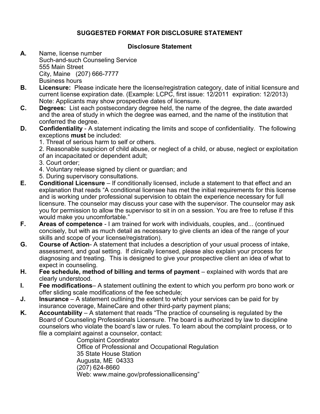# **SUGGESTED FORMAT FOR DISCLOSURE STATEMENT**

## **Disclosure Statement**

- **A.** Name, license number Such-and-such Counseling Service 555 Main Street City, Maine (207) 666-7777 Business hours
- **B. Licensure:** Please indicate here the license/registration category, date of initial licensure and current license expiration date. (Example: LCPC, first issue: 12/2011 expiration: 12/2013) Note: Applicants may show prospective dates of licensure.
- **C. Degrees:** List each postsecondary degree held, the name of the degree, the date awarded and the area of study in which the degree was earned, and the name of the institution that conferred the degree.
- **D. Confidentiality**  A statement indicating the limits and scope of confidentiality. The following exceptions **must** be included:
	- 1. Threat of serious harm to self or others.
	- 2. Reasonable suspicion of child abuse, or neglect of a child, or abuse, neglect or exploitation
	- of an incapacitated or dependent adult;
	- 3. Court order;
	- 4. Voluntary release signed by client or guardian; and
	- 5. During supervisory consultations.
- **E. Conditional Licensure**  If conditionally licensed, include a statement to that effect and an explanation that reads "A conditional licensee has met the initial requirements for this license and is working under professional supervision to obtain the experience necessary for full licensure. The counselor may discuss your case with the supervisor. The counselor may ask you for permission to allow the supervisor to sit in on a session. You are free to refuse if this would make you uncomfortable."
- **F. Areas of competence**  I am trained for work with individuals, couples, and... (continued concisely, but with as much detail as necessary to give clients an idea of the range of your skills and scope of your license/registration).
- **G. Course of Action** A statement that includes a description of your usual process of intake, assessment, and goal setting. If clinically licensed, please also explain your process for diagnosing and treating. This is designed to give your prospective client an idea of what to expect in counseling.
- **H. Fee schedule, method of billing and terms of payment** explained with words that are clearly understood.
- **I. Fee modifications** A statement outlining the extent to which you perform pro bono work or offer sliding scale modifications of the fee schedule;
- **J. Insurance**  A statement outlining the extent to which your services can be paid for by insurance coverage, MaineCare and other third-party payment plans;
- **K.** Accountability A statement that reads "The practice of counseling is regulated by the Board of Counseling Professionals Licensure. The board is authorized by law to discipline counselors who violate the board's law or rules. To learn about the complaint process, or to file a complaint against a counselor, contact:

Complaint Coordinator Office of Professional and Occupational Regulation 35 State House Station Augusta, ME 04333 (207) 624-8660 Web: www.maine.gov/professionallicensing"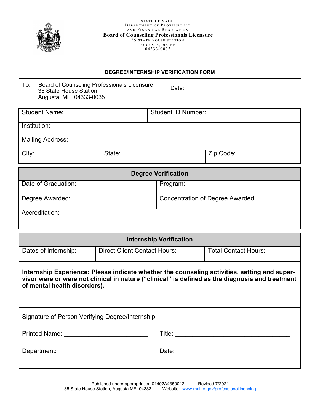

#### **DEGREE/INTERNSHIP VERIFICATION FORM**

| To:<br>Board of Counseling Professionals Licensure<br>Date:<br>35 State House Station<br>Augusta, ME 04333-0035                                                                                                                 |                                     |                                         |                             |  |  |
|---------------------------------------------------------------------------------------------------------------------------------------------------------------------------------------------------------------------------------|-------------------------------------|-----------------------------------------|-----------------------------|--|--|
| <b>Student Name:</b>                                                                                                                                                                                                            |                                     | <b>Student ID Number:</b>               |                             |  |  |
| Institution:                                                                                                                                                                                                                    |                                     |                                         |                             |  |  |
| <b>Mailing Address:</b>                                                                                                                                                                                                         |                                     |                                         |                             |  |  |
| City:                                                                                                                                                                                                                           | State:                              |                                         | Zip Code:                   |  |  |
|                                                                                                                                                                                                                                 |                                     | <b>Degree Verification</b>              |                             |  |  |
| Date of Graduation:                                                                                                                                                                                                             |                                     | Program:                                |                             |  |  |
| Degree Awarded:                                                                                                                                                                                                                 |                                     | <b>Concentration of Degree Awarded:</b> |                             |  |  |
| Accreditation:                                                                                                                                                                                                                  |                                     |                                         |                             |  |  |
|                                                                                                                                                                                                                                 |                                     | <b>Internship Verification</b>          |                             |  |  |
| Dates of Internship:                                                                                                                                                                                                            | <b>Direct Client Contact Hours:</b> |                                         | <b>Total Contact Hours:</b> |  |  |
| Internship Experience: Please indicate whether the counseling activities, setting and super-<br>visor were or were not clinical in nature ("clinical" is defined as the diagnosis and treatment<br>of mental health disorders). |                                     |                                         |                             |  |  |
|                                                                                                                                                                                                                                 |                                     |                                         |                             |  |  |
| Signature of Person Verifying Degree/Internship: [1991] [2010] [2010] [2010] [2010] [2010] [2010] [2010] [2010                                                                                                                  |                                     |                                         |                             |  |  |
|                                                                                                                                                                                                                                 |                                     |                                         |                             |  |  |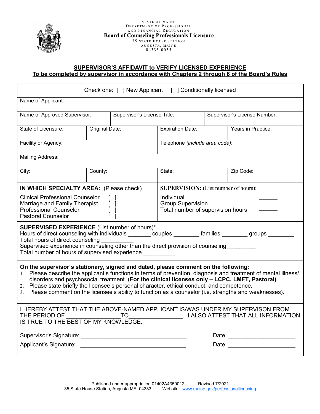

#### **SUPERVISOR'S AFFIDAVIT to VERIFY LICENSED EXPERIENCE To be completed by supervisor in accordance with Chapters 2 through 6 of the Board's Rules**

| Check one: [ ] New Applicant [ ] Conditionally licensed                                                                                                                                                                                                                                                                                                                                                                                                                                                           |                |                         |                                |  |                                 |
|-------------------------------------------------------------------------------------------------------------------------------------------------------------------------------------------------------------------------------------------------------------------------------------------------------------------------------------------------------------------------------------------------------------------------------------------------------------------------------------------------------------------|----------------|-------------------------|--------------------------------|--|---------------------------------|
| Name of Applicant:                                                                                                                                                                                                                                                                                                                                                                                                                                                                                                |                |                         |                                |  |                                 |
| Name of Approved Supervisor:<br>Supervisor's License Title:                                                                                                                                                                                                                                                                                                                                                                                                                                                       |                |                         | Supervisor's License Number:   |  |                                 |
| State of Licensure:                                                                                                                                                                                                                                                                                                                                                                                                                                                                                               | Original Date: | <b>Expiration Date:</b> |                                |  | Years in Practice:              |
| Facility or Agency:                                                                                                                                                                                                                                                                                                                                                                                                                                                                                               |                |                         | Telephone (include area code): |  |                                 |
| <b>Mailing Address:</b>                                                                                                                                                                                                                                                                                                                                                                                                                                                                                           |                |                         |                                |  |                                 |
| City:                                                                                                                                                                                                                                                                                                                                                                                                                                                                                                             | County:        |                         | State:                         |  | Zip Code:                       |
| IN WHICH SPECIALTY AREA: (Please check)<br><b>SUPERVISION:</b> (List number of hours):<br><b>Clinical Professional Counselor</b><br>Individual<br><b>Group Supervision</b><br>Marriage and Family Therapist<br>$\begin{bmatrix} 1 \\ 1 \end{bmatrix}$<br><b>Professional Counselor</b><br>Total number of supervision hours<br><b>Pastoral Counselor</b>                                                                                                                                                          |                |                         |                                |  |                                 |
| <b>SUPERVISED EXPERIENCE</b> (List number of hours)*<br>Hours of direct counseling with individuals ________ couples ________ families _______ groups ______<br>Total hours of direct counseling<br>Supervised experience in counseling other than the direct provision of counseling_________<br>Total number of hours of supervised experience ___________                                                                                                                                                      |                |                         |                                |  |                                 |
| On the supervisor's stationary, signed and dated, please comment on the following:<br>1. Please describe the applicant's functions in terms of prevention, diagnosis and treatment of mental illness/<br>disorders and psychosocial treatment. (For the clinical licenses only - LCPC, LMFT, Pastoral).<br>2. Please state briefly the licensee's personal character, ethical conduct, and competence.<br>3. Please comment on the licensee's ability to function as a counselor (i.e. strengths and weaknesses). |                |                         |                                |  |                                 |
| I HEREBY ATTEST THAT THE ABOVE-NAMED APPLICANT IS/WAS UNDER MY SUPERVISON FROM<br>THE PERIOD OF<br>TO<br>. I ALSO ATTEST THAT ALL INFORMATION<br>IS TRUE TO THE BEST OF MY KNOWLEDGE.                                                                                                                                                                                                                                                                                                                             |                |                         |                                |  |                                 |
|                                                                                                                                                                                                                                                                                                                                                                                                                                                                                                                   |                |                         |                                |  |                                 |
|                                                                                                                                                                                                                                                                                                                                                                                                                                                                                                                   |                |                         |                                |  | Date: _________________________ |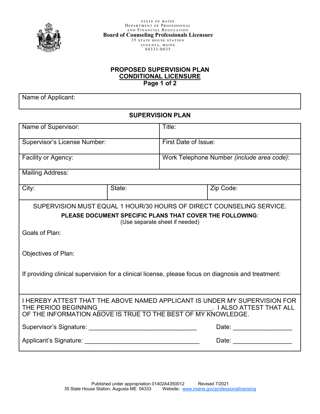

#### **PROPOSED SUPERVISION PLAN CONDITIONAL LICENSURE Page 1 of 2**

Name of Applicant:

## **SUPERVISION PLAN**

| Name of Supervisor:                                                                                                                                                                             |                                                          | Title:                                     |                                                                      |  |
|-------------------------------------------------------------------------------------------------------------------------------------------------------------------------------------------------|----------------------------------------------------------|--------------------------------------------|----------------------------------------------------------------------|--|
| <b>Supervisor's License Number:</b>                                                                                                                                                             |                                                          | First Date of Issue:                       |                                                                      |  |
| Facility or Agency:                                                                                                                                                                             |                                                          | Work Telephone Number (include area code): |                                                                      |  |
| <b>Mailing Address:</b>                                                                                                                                                                         |                                                          |                                            |                                                                      |  |
| City:                                                                                                                                                                                           | State:                                                   |                                            | Zip Code:                                                            |  |
|                                                                                                                                                                                                 |                                                          |                                            | SUPERVISION MUST EQUAL 1 HOUR/30 HOURS OF DIRECT COUNSELING SERVICE. |  |
|                                                                                                                                                                                                 | PLEASE DOCUMENT SPECIFIC PLANS THAT COVER THE FOLLOWING: | (Use separate sheet if needed)             |                                                                      |  |
| Goals of Plan:                                                                                                                                                                                  |                                                          |                                            |                                                                      |  |
| <b>Objectives of Plan:</b>                                                                                                                                                                      |                                                          |                                            |                                                                      |  |
| If providing clinical supervision for a clinical license, please focus on diagnosis and treatment:                                                                                              |                                                          |                                            |                                                                      |  |
| I HEREBY ATTEST THAT THE ABOVE NAMED APPLICANT IS UNDER MY SUPERVISION FOR<br>THE PERIOD BEGINNING<br>. I ALSO ATTEST THAT ALL<br>OF THE INFORMATION ABOVE IS TRUE TO THE BEST OF MY KNOWLEDGE. |                                                          |                                            |                                                                      |  |
| Supervisor's Signature: Supervisor's Signature:                                                                                                                                                 |                                                          |                                            | Date: ___________________                                            |  |
| Applicant's Signature: Applicant of Security Applicant of Security Applicant of Security Applicant of Security                                                                                  |                                                          |                                            | Date: _________________                                              |  |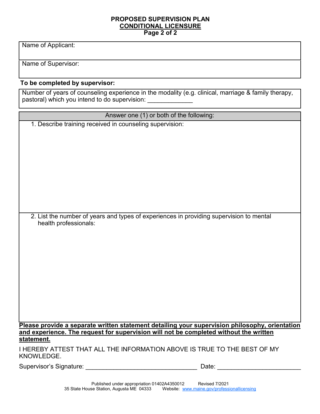#### **PROPOSED SUPERVISION PLAN CONDITIONAL LICENSURE Page 2 of 2**

Name of Applicant:

Name of Supervisor:

# **To be completed by supervisor:**

Number of years of counseling experience in the modality (e.g. clinical, marriage & family therapy, pastoral) which you intend to do supervision: \_\_\_\_\_\_\_\_\_\_\_\_\_

| Answer one (1) or both of the following:                                                                         |
|------------------------------------------------------------------------------------------------------------------|
| 1. Describe training received in counseling supervision:                                                         |
|                                                                                                                  |
|                                                                                                                  |
|                                                                                                                  |
|                                                                                                                  |
|                                                                                                                  |
|                                                                                                                  |
|                                                                                                                  |
|                                                                                                                  |
|                                                                                                                  |
| 2. List the number of years and types of experiences in providing supervision to mental<br>health professionals: |
|                                                                                                                  |
|                                                                                                                  |
|                                                                                                                  |
|                                                                                                                  |
|                                                                                                                  |
|                                                                                                                  |
|                                                                                                                  |
|                                                                                                                  |
|                                                                                                                  |
|                                                                                                                  |
| Please provide a separate written statement detailing your supervision philosophy, orientation                   |
| and experience. The request for supervision will not be completed without the written<br>statement.              |
| I HEREBY ATTEST THAT ALL THE INFORMATION ABOVE IS TRUE TO THE BEST OF MY<br>KNOWLEDGE.                           |

Supervisor's Signature: \_\_\_\_\_\_\_\_\_\_\_\_\_\_\_\_\_\_\_\_\_\_\_\_\_\_\_\_\_\_\_\_ Date: \_\_\_\_\_\_\_\_\_\_\_\_\_\_\_\_\_\_\_\_\_\_\_\_